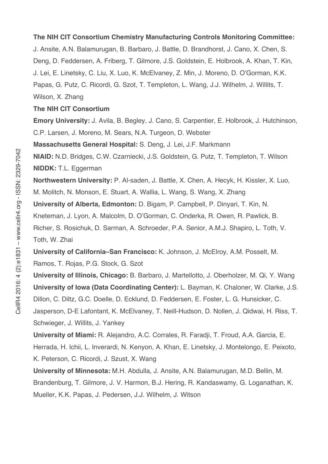### **The NIH CIT Consortium Chemistry Manufacturing Controls Monitoring Committee:**

J. Ansite, A.N. Balamurugan, B. Barbaro, J. Battle, D. Brandhorst, J. Cano, X. Chen, S. Deng, D. Feddersen, A. Friberg, T. Gilmore, J.S. Goldstein, E. Holbrook, A. Khan, T. Kin, J. Lei, E. Linetsky, C. Liu, X. Luo, K. McElvaney, Z. Min, J. Moreno, D. O'Gorman, K.K. Papas, G. Putz, C. Ricordi, G. Szot, T. Templeton, L. Wang, J.J. Wilhelm, J. Willits, T. Wilson, X. Zhang

## **The NIH CIT Consortium**

**Emory University:** J. Avila, B. Begley, J. Cano, S. Carpentier, E. Holbrook, J. Hutchinson, C.P. Larsen, J. Moreno, M. Sears, N.A. Turgeon, D. Webster

**Massachusetts General Hospital:** S. Deng, J. Lei, J.F. Markmann

**NIAID:** N.D. Bridges, C.W. Czarniecki, J.S. Goldstein, G. Putz, T. Templeton, T. Wilson **NIDDK:** T.L. Eggerman

**Northwestern University:** P. Al-saden, J. Battle, X. Chen, A. Hecyk, H. Kissler, X. Luo, M. Molitch, N. Monson, E. Stuart, A. Wallia, L. Wang, S. Wang, X. Zhang

**University of Alberta, Edmonton:** D. Bigam, P. Campbell, P. Dinyari, T. Kin, N.

Kneteman, J. Lyon, A. Malcolm, D. O'Gorman, C. Onderka, R. Owen, R. Pawlick, B.

Richer, S. Rosichuk, D. Sarman, A. Schroeder, P.A. Senior, A.M.J. Shapiro, L. Toth, V. Toth, W. Zhai

**University of California–San Francisco:** K. Johnson, J. McElroy, A.M. Posselt, M. Ramos, T. Rojas, P.G. Stock, G. Szot

**University of Illinois, Chicago:** B. Barbaro, J. Martellotto, J. Oberholzer, M. Qi, Y. Wang **University of Iowa (Data Coordinating Center):** L. Bayman, K. Chaloner, W. Clarke, J.S. Dillon, C. Diltz, G.C. Doelle, D. Ecklund, D. Feddersen, E. Foster, L. G. Hunsicker, C. Jasperson, D-E Lafontant, K. McElvaney, T. Neill-Hudson, D. Nollen, J. Qidwai, H. Riss, T. Schwieger, J. Willits, J. Yankey

**University of Miami:** R. Alejandro, A.C. Corrales, R. Faradji, T. Froud, A.A. Garcia, E. Herrada, H. Ichii, L. Inverardi, N. Kenyon, A. Khan, E. Linetsky, J. Montelongo, E. Peixoto, K. Peterson, C. Ricordi, J. Szust, X. Wang

**University of Minnesota:** M.H. Abdulla, J. Ansite, A.N. Balamurugan, M.D. Bellin, M. Brandenburg, T. Gilmore, J. V. Harmon, B.J. Hering, R. Kandaswamy, G. Loganathan, K. Mueller, K.K. Papas, J. Pedersen, J.J. Wilhelm, J. Witson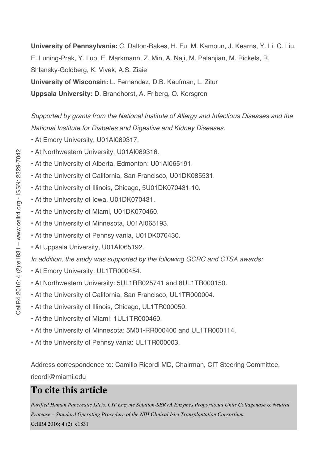**University of Pennsylvania:** C. Dalton-Bakes, H. Fu, M. Kamoun, J. Kearns, Y. Li, C. Liu, E. Luning-Prak, Y. Luo, E. Markmann, Z. Min, A. Naji, M. Palanjian, M. Rickels, R. Shlansky-Goldberg, K. Vivek, A.S. Ziaie **University of Wisconsin:** L. Fernandez, D.B. Kaufman, L. Zitur **Uppsala University:** D. Brandhorst, A. Friberg, O. Korsgren

Supported by grants from the National Institute of Allergy and Infectious Diseases and the National Institute for Diabetes and Digestive and Kidney Diseases.

- At Emory University, U01AI089317.
- At Northwestern University, U01AI089316.
- At the University of Alberta, Edmonton: U01AI065191.
- At the University of California, San Francisco, U01DK085531.
- At the University of Illinois, Chicago, 5U01DK070431-10.
- At the University of Iowa, U01DK070431.
- At the University of Miami, U01DK070460.
- At the University of Minnesota, U01AI065193.
- At the University of Pennsylvania, U01DK070430.
- At Uppsala University, U01AI065192.

In addition, the study was supported by the following GCRC and CTSA awards:

- At Emory University: UL1TR000454.
- At Northwestern University: 5UL1RR025741 and 8UL1TR000150.
- At the University of California, San Francisco, UL1TR000004.
- At the University of Illinois, Chicago, UL1TR000050.
- At the University of Miami: 1UL1TR000460.
- At the University of Minnesota: 5M01-RR000400 and UL1TR000114.
- At the University of Pennsylvania: UL1TR000003.

Address correspondence to: Camillo Ricordi MD, Chairman, CIT Steering Committee, ricordi@miami.edu

# **To cite this article**

*Purified Human Pancreatic Islets, CIT Enzyme Solution-SERVA Enzymes Proportional Units Collagenase & Neutral Protease – Standard Operating Procedure of the NIH Clinical Islet Transplantation Consortium* CellR4 2016; 4 (2): e1831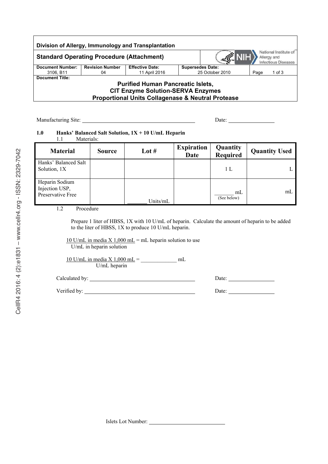| Division of Allergy, Immunology and Transplantation                                                                                       |                        |                        |  |                         |      |        |
|-------------------------------------------------------------------------------------------------------------------------------------------|------------------------|------------------------|--|-------------------------|------|--------|
| National Institute of<br><b>Standard Operating Procedure (Attachment)</b><br>Allergy and<br><b>Infectious Diseases</b>                    |                        |                        |  |                         |      |        |
| <b>Document Number:</b>                                                                                                                   | <b>Revision Number</b> | <b>Effective Date:</b> |  | <b>Supersedes Date:</b> |      |        |
| 3106, B11                                                                                                                                 | 04                     | 11 April 2016          |  | 25 October 2010         | Page | 1 of 3 |
| <b>Document Title:</b>                                                                                                                    |                        |                        |  |                         |      |        |
| <b>Purified Human Pancreatic Islets,</b><br><b>CIT Enzyme Solution-SERVA Enzymes</b><br>Proportional Units Collagenase & Neutral Protease |                        |                        |  |                         |      |        |

Manufacturing Site: Date: Date:

#### **1.0 Hanks' Balanced Salt Solution, 1X + 10 U/mL Heparin**  1.1 Materials:

| <b>Material</b>                                              | <b>Source</b> | Lot $#$  | <b>Expiration</b><br>Date | Quantity<br><b>Required</b> | <b>Quantity Used</b> |
|--------------------------------------------------------------|---------------|----------|---------------------------|-----------------------------|----------------------|
| Hanks' Balanced Salt<br>Solution, 1X                         |               |          |                           | 1 L                         |                      |
| Heparin Sodium<br>Injection USP,<br><b>Preservative Free</b> |               | Units/mL |                           | mL<br>(See below)           | mL                   |

1.2 Procedure

Prepare 1 liter of HBSS, 1X with 10 U/mL of heparin. Calculate the amount of heparin to be added to the liter of HBSS, 1X to produce 10 U/mL heparin.

 $10$  U/mL in media X 1,000 mL = mL heparin solution to use U/mL in heparin solution

10 U/mL in media X 1,000 mL = \_\_\_\_\_\_\_\_\_\_\_\_\_ mL U/mL heparin

Calculated by: Date:

Verified by: Date: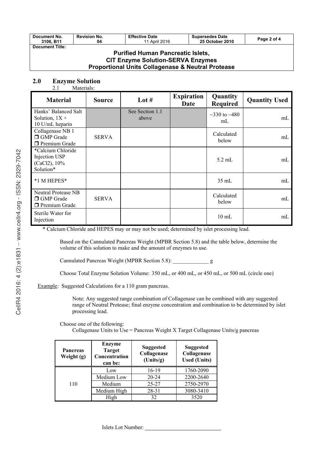| Document No.           | <b>Revision No.</b> | <b>Effective Date</b> | <b>Supersedes Date</b> | Page 2 of 4 |
|------------------------|---------------------|-----------------------|------------------------|-------------|
| 3106, B11              | 04                  | April 2016            | 25 October 2010        |             |
| <b>Document Title:</b> |                     |                       |                        |             |

### **Purified Human Pancreatic Islets, CIT Enzyme Solution-SERVA Enzymes Proportional Units Collagenase & Neutral Protease**

### **2.0 Enzyme Solution**

2.1 Materials:

| <b>Material</b>                                                     | <b>Source</b> | Lot $#$                  | <b>Expiration</b><br>Date | Quantity<br><b>Required</b>    | <b>Quantity Used</b> |
|---------------------------------------------------------------------|---------------|--------------------------|---------------------------|--------------------------------|----------------------|
| Hanks' Balanced Salt<br>Solution, $1X +$<br>10 U/mL heparin         |               | See Section 1.1<br>above |                           | $\sim$ 330 to $\sim$ 480<br>mL | mL                   |
| Collagenase NB 1<br>□ GMP Grade<br><b>D</b> Premium Grade           | <b>SERVA</b>  |                          |                           | Calculated<br>below            | m <sub>L</sub>       |
| *Calcium Chloride<br>Injection USP<br>$(CaCl2), 10\%$<br>Solution*  |               |                          |                           | $5.2$ mL                       | m <sub>L</sub>       |
| *1 M HEPES*                                                         |               |                          |                           | $35 \text{ mL}$                | m <sub>L</sub>       |
| <b>Neutral Protease NB</b><br>□ GMP Grade<br><b>D</b> Premium Grade | <b>SERVA</b>  |                          |                           | Calculated<br>below            | mL                   |
| Sterile Water for<br>Injection                                      |               |                          |                           | $10 \text{ mL}$                | mL                   |

\* Calcium Chloride and HEPES may or may not be used; determined by islet processing lead.

 Based on the Cannulated Pancreas Weight (MPBR Section 5.8) and the table below, determine the volume of this solution to make and the amount of enzymes to use.

Cannulated Pancreas Weight (MPBR Section 5.8): g

Choose Total Enzyme Solution Volume: 350 mL, or 400 mL, or 450 mL, or 500 mL (circle one)

Example: Suggested Calculations for a 110 gram pancreas.

Note: Any suggested range combination of Collagenase can be combined with any suggested range of Neutral Protease; final enzyme concentration and combination to be determined by islet processing lead.

Choose one of the following:

Collagenase Units to Use = Pancreas Weight X Target Collagenase Units/g pancreas

| Pancreas<br>Weight (g) | <b>Enzyme</b><br><b>Target</b><br>Concentration<br>can be: | <b>Suggested</b><br>Collagenase<br>(Units/g) | <b>Suggested</b><br>Collagenase<br><b>Used (Units)</b> |
|------------------------|------------------------------------------------------------|----------------------------------------------|--------------------------------------------------------|
|                        | Low                                                        | 16-19                                        | 1760-2090                                              |
| 110                    | Medium Low                                                 | $20 - 24$                                    | 2200-2640                                              |
|                        | Medium                                                     | $25 - 27$                                    | 2750-2970                                              |
|                        | Medium High                                                | 28-31                                        | 3080-3410                                              |
|                        | High                                                       | 32                                           | 3520                                                   |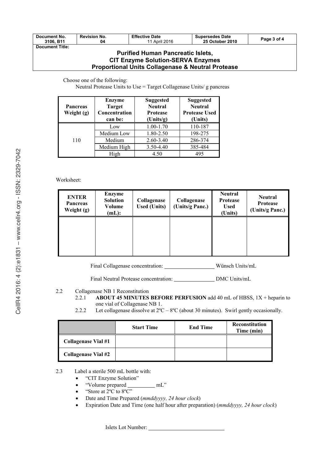| <b>Document No.</b>    | <b>Revision No.</b> | <b>Effective Date</b> | <b>Supersedes Date</b> | Page 3 of 4 |
|------------------------|---------------------|-----------------------|------------------------|-------------|
| 3106. B11              | 04                  | April 2016            | 25 October 2010        |             |
| <b>Document Title:</b> |                     |                       |                        |             |

#### **Purified Human Pancreatic Islets, CIT Enzyme Solution-SERVA Enzymes** Proportional Units Collagenase & Neutral Protease

Choose one of the following:

Neutral Protease Units to Use = Target Collagenase Units/ g pancreas

| Pancreas<br>Weight (g) | <b>Enzyme</b><br><b>Target</b><br>Concentration<br>can be: | <b>Suggested</b><br><b>Neutral</b><br><b>Protease</b><br>(Units/g) | <b>Suggested</b><br><b>Neutral</b><br><b>Protease Used</b><br>(Units) |
|------------------------|------------------------------------------------------------|--------------------------------------------------------------------|-----------------------------------------------------------------------|
|                        | Low                                                        | 1.00-1.70                                                          | 110-187                                                               |
| 110                    | Medium Low                                                 | 1.80-2.50                                                          | 198-275                                                               |
|                        | Medium                                                     | $2.60 - 3.40$                                                      | 286-374                                                               |
|                        | Medium High                                                | 3.50-4.40                                                          | 385-484                                                               |
|                        | High                                                       | 4.50                                                               | 495                                                                   |

#### Worksheet:

| <b>ENTER</b><br><b>Pancreas</b><br>Weight (g) | <b>Enzyme</b><br><b>Solution</b><br>Volume<br>$(mL)$ : | Collagenase<br><b>Used (Units)</b> | Collagenase<br>(Units/g Panc.) | <b>Neutral</b><br><b>Protease</b><br><b>Used</b><br>(Units) | <b>Neutral</b><br><b>Protease</b><br>(Units/g Panc.) |
|-----------------------------------------------|--------------------------------------------------------|------------------------------------|--------------------------------|-------------------------------------------------------------|------------------------------------------------------|
|                                               |                                                        |                                    |                                |                                                             |                                                      |
|                                               |                                                        |                                    |                                |                                                             |                                                      |
|                                               |                                                        |                                    |                                |                                                             |                                                      |

Final Collagenase concentration: Wünsch Units/mL

Final Neutral Protease concentration: \_\_\_\_\_\_\_\_\_\_\_\_\_\_\_ DMC Units/mL

#### 2.2 Collagenase NB 1 Reconstitution

- $2.2.1$ ABOUT 45 MINUTES BEFORE PERFUSION add 40 mL of HBSS, 1X + heparin to one vial of Collagenase NB 1.
- Let collagenase dissolve at  $2^{\circ}C 8^{\circ}C$  (about 30 minutes). Swirl gently occasionally. 2.2.2

|                            | <b>Start Time</b> | <b>End Time</b> | Reconstitution<br>Time (min) |
|----------------------------|-------------------|-----------------|------------------------------|
| <b>Collagenase Vial #1</b> |                   |                 |                              |
| <b>Collagenase Vial #2</b> |                   |                 |                              |

#### $2.3$ Label a sterile 500 mL bottle with:

- "CIT Enzyme Solution"  $\bullet$
- $mL$ "  $\bullet$
- "Store at 2°C to 8°C"  $\bullet$
- Date and Time Prepared (mmddyyyy, 24 hour clock)  $\bullet$
- Expiration Date and Time (one half hour after preparation) (mmddyyyy, 24 hour clock)  $\bullet$